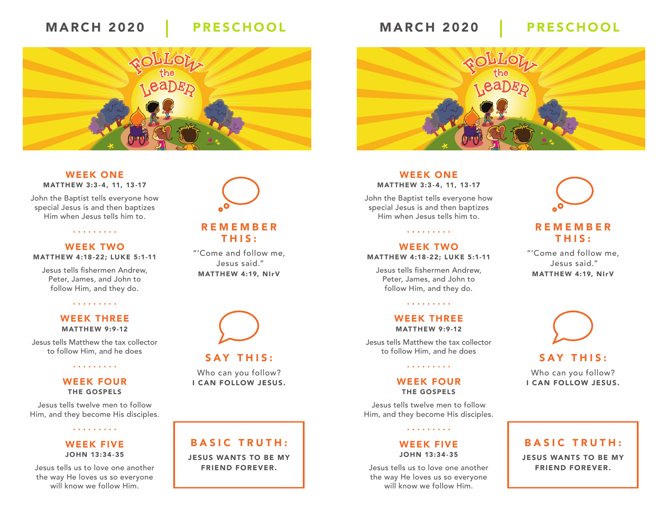# MARCH 2020 PRESCHOOL MARCH 2020 PRESCHOOL



#### WEEK ONE MATTHEW 3:3-4, 11, 13-17

John the Baptist tells everyone how special Jesus is and then baptizes Him when Jesus tells him to.

. . . . . . . . .

#### WEEK TWO MATTHEW 4:18-22; LUKE 5:1-11

Jesus tells fishermen Andrew, Peter, James, and John to follow Him, and they do.

### . . . . . . . . .

#### WEEK THREE MATTHEW 9:9-12

Jesus tells Matthew the tax collector to follow Him, and he does

. . . . . . . . .

#### WEEK FOUR THE GOSPELS

Jesus tells twelve men to follow Him, and they become His disciples.

. . . . . . . . .

### WEEK FIVE JOHN 13:34 -35

Jesus tells us to love one another the way He loves us so everyone will know we follow Him.

# REMEMBER

# THIS:

"'Come and follow me, Jesus said." MATTHEW 4:19, NIrV



### SAY THIS:

Who can you follow? I CAN FOLLOW JESUS.

# BASIC TRUTH:

JESUS WANTS TO BE MY FRIEND FOREVER.



#### WEEK ONE MATTHEW 3:3-4, 11, 13-17

John the Baptist tells everyone how special Jesus is and then baptizes Him when Jesus tells him to.

### WEEK TWO MATTHEW 4:18-22; LUKE 5:1-11

. . . . . . . . .

Jesus tells fishermen Andrew, Peter, James, and John to follow Him, and they do.

. . . . . . . . .

#### WEEK THREE MATTHEW 9:9-12

Jesus tells Matthew the tax collector to follow Him, and he does

#### WEEK FOUR THE GOSPELS

. . . . . . . . .

Jesus tells twelve men to follow Him, and they become His disciples.

. . . . . . . . .

### WEEK FIVE JOHN 13:34 -35

Jesus tells us to love one another the way He loves us so everyone will know we follow Him.



### REMEMBER THIS:

"'Come and follow me, Jesus said." MATTHEW 4:19, NIrV



### SAY THIS:

Who can you follow? I CAN FOLLOW JESUS.

### BASIC TRUTH: JESUS WANTS TO BE MY FRIEND FOREVER.